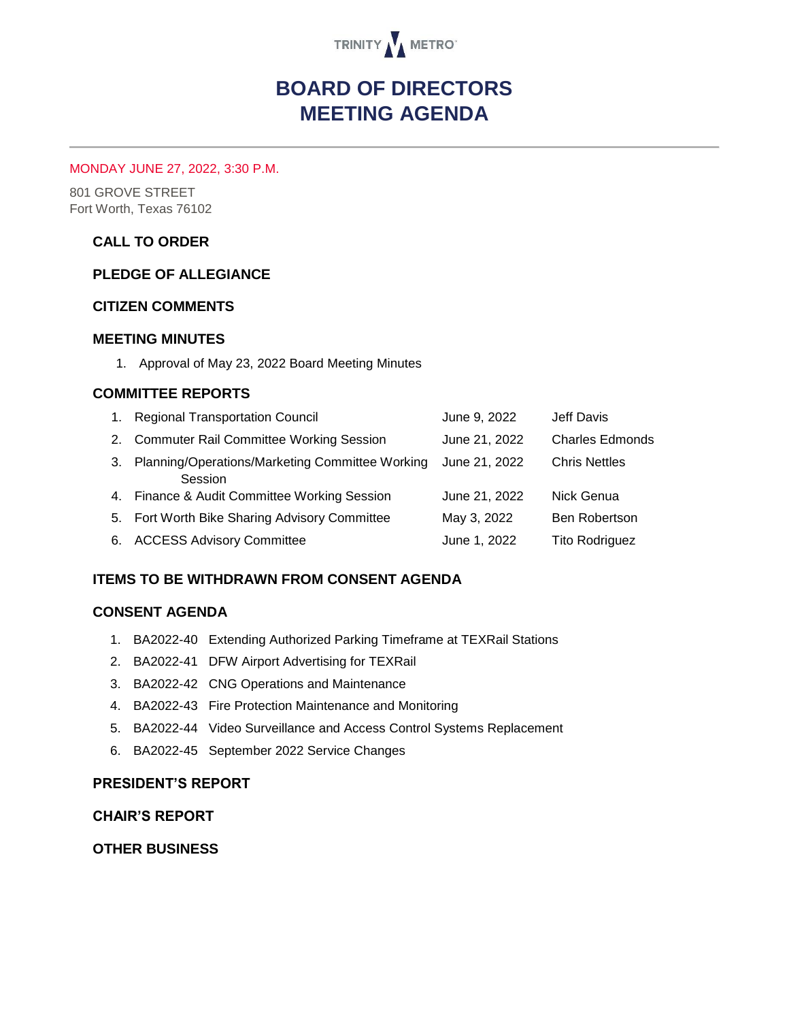

# **BOARD OF DIRECTORS MEETING AGENDA**

#### MONDAY JUNE 27, 2022, 3:30 P.M.

801 GROVE STREET Fort Worth, Texas 76102

## **CALL TO ORDER**

#### **PLEDGE OF ALLEGIANCE**

#### **CITIZEN COMMENTS**

### **MEETING MINUTES**

1. Approval of May 23, 2022 Board Meeting Minutes

### **COMMITTEE REPORTS**

|    | 1. Regional Transportation Council                         | June 9, 2022  | Jeff Davis             |
|----|------------------------------------------------------------|---------------|------------------------|
|    | 2. Commuter Rail Committee Working Session                 | June 21, 2022 | <b>Charles Edmonds</b> |
| 3. | Planning/Operations/Marketing Committee Working<br>Session | June 21, 2022 | <b>Chris Nettles</b>   |
|    | 4. Finance & Audit Committee Working Session               | June 21, 2022 | Nick Genua             |
|    | 5. Fort Worth Bike Sharing Advisory Committee              | May 3, 2022   | <b>Ben Robertson</b>   |
| 6. | <b>ACCESS Advisory Committee</b>                           | June 1, 2022  | <b>Tito Rodriguez</b>  |

## **ITEMS TO BE WITHDRAWN FROM CONSENT AGENDA**

#### **CONSENT AGENDA**

- 1. BA2022-40 Extending Authorized Parking Timeframe at TEXRail Stations
- 2. BA2022-41 DFW Airport Advertising for TEXRail
- 3. BA2022-42 CNG Operations and Maintenance
- 4. BA2022-43 Fire Protection Maintenance and Monitoring
- 5. BA2022-44 Video Surveillance and Access Control Systems Replacement
- 6. BA2022-45 September 2022 Service Changes

#### **PRESIDENT'S REPORT**

#### **CHAIR'S REPORT**

#### **OTHER BUSINESS**